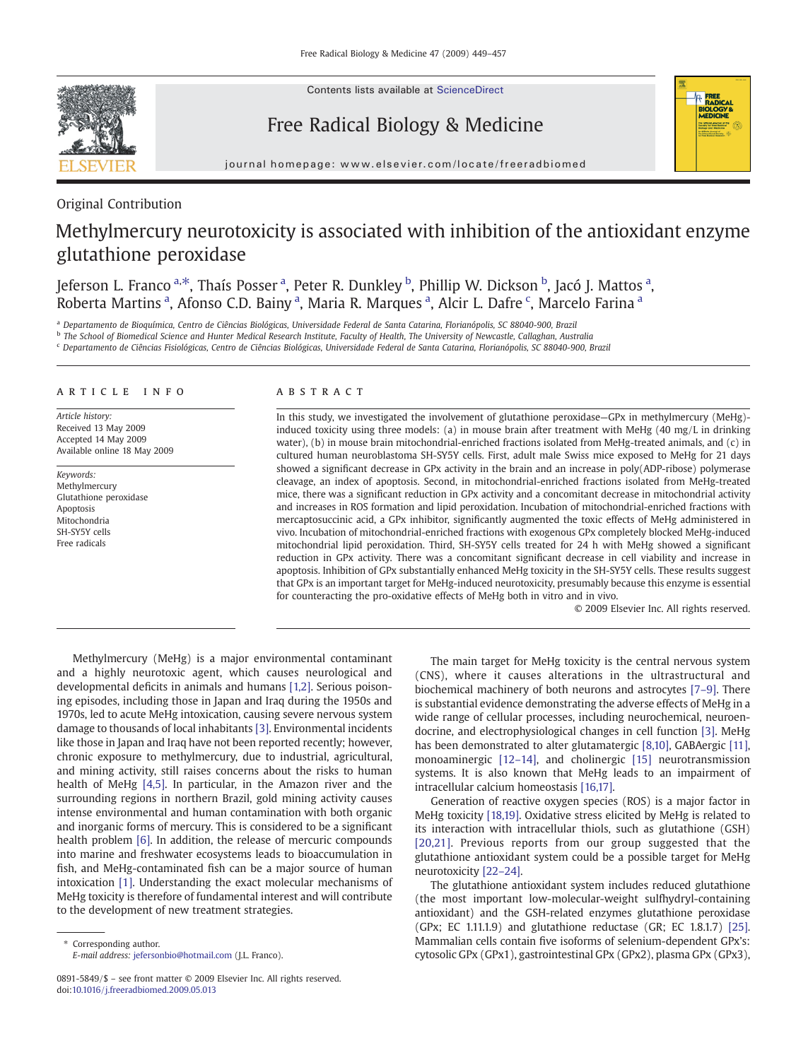Contents lists available at [ScienceDirect](http://www.sciencedirect.com/science/journal/08915849)

# Free Radical Biology & Medicine



journal homepage: www.elsevier.com/locate/freeradbiomed

# Original Contribution

# Methylmercury neurotoxicity is associated with inhibition of the antioxidant enzyme glutathione peroxidase

Jeferson L. Franco <sup>a,\*</sup>, Thaís Posser <sup>a</sup>, Peter R. Dunkley <sup>b</sup>, Phillip W. Dickson <sup>b</sup>, Jacó J. Mattos <sup>a</sup>, Roberta Martins<sup>a</sup>, Afonso C.D. Bainy<sup>a</sup>, Maria R. Marques<sup>a</sup>, Alcir L. Dafre<sup>c</sup>, Marcelo Farina<sup>a</sup>

a Departamento de Bioquímica, Centro de Ciências Biológicas, Universidade Federal de Santa Catarina, Florianópolis, SC 88040-900, Brazil

<sup>b</sup> The School of Biomedical Science and Hunter Medical Research Institute, Faculty of Health, The University of Newcastle, Callaghan, Australia

<sup>c</sup> Departamento de Ciências Fisiológicas, Centro de Ciências Biológicas, Universidade Federal de Santa Catarina, Florianópolis, SC 88040-900, Brazil

# article info abstract

Article history: Received 13 May 2009 Accepted 14 May 2009 Available online 18 May 2009

Keywords: Methylmercury Glutathione peroxidase Apoptosis Mitochondria SH-SY5Y cells Free radicals

In this study, we investigated the involvement of glutathione peroxidase—GPx in methylmercury (MeHg) induced toxicity using three models: (a) in mouse brain after treatment with MeHg (40 mg/L in drinking water), (b) in mouse brain mitochondrial-enriched fractions isolated from MeHg-treated animals, and (c) in cultured human neuroblastoma SH-SY5Y cells. First, adult male Swiss mice exposed to MeHg for 21 days showed a significant decrease in GPx activity in the brain and an increase in poly(ADP-ribose) polymerase cleavage, an index of apoptosis. Second, in mitochondrial-enriched fractions isolated from MeHg-treated mice, there was a significant reduction in GPx activity and a concomitant decrease in mitochondrial activity and increases in ROS formation and lipid peroxidation. Incubation of mitochondrial-enriched fractions with mercaptosuccinic acid, a GPx inhibitor, significantly augmented the toxic effects of MeHg administered in vivo. Incubation of mitochondrial-enriched fractions with exogenous GPx completely blocked MeHg-induced mitochondrial lipid peroxidation. Third, SH-SY5Y cells treated for 24 h with MeHg showed a significant reduction in GPx activity. There was a concomitant significant decrease in cell viability and increase in apoptosis. Inhibition of GPx substantially enhanced MeHg toxicity in the SH-SY5Y cells. These results suggest that GPx is an important target for MeHg-induced neurotoxicity, presumably because this enzyme is essential for counteracting the pro-oxidative effects of MeHg both in vitro and in vivo.

© 2009 Elsevier Inc. All rights reserved.

Methylmercury (MeHg) is a major environmental contaminant and a highly neurotoxic agent, which causes neurological and developmental deficits in animals and humans [\[1,2\].](#page-7-0) Serious poisoning episodes, including those in Japan and Iraq during the 1950s and 1970s, led to acute MeHg intoxication, causing severe nervous system damage to thousands of local inhabitants [\[3\]](#page-7-0). Environmental incidents like those in Japan and Iraq have not been reported recently; however, chronic exposure to methylmercury, due to industrial, agricultural, and mining activity, still raises concerns about the risks to human health of MeHg [\[4,5\]](#page-7-0). In particular, in the Amazon river and the surrounding regions in northern Brazil, gold mining activity causes intense environmental and human contamination with both organic and inorganic forms of mercury. This is considered to be a significant health problem [\[6\]](#page-7-0). In addition, the release of mercuric compounds into marine and freshwater ecosystems leads to bioaccumulation in fish, and MeHg-contaminated fish can be a major source of human intoxication [\[1\]](#page-7-0). Understanding the exact molecular mechanisms of MeHg toxicity is therefore of fundamental interest and will contribute to the development of new treatment strategies.

The main target for MeHg toxicity is the central nervous system (CNS), where it causes alterations in the ultrastructural and biochemical machinery of both neurons and astrocytes [\[7](#page-7-0)–9]. There is substantial evidence demonstrating the adverse effects of MeHg in a wide range of cellular processes, including neurochemical, neuroendocrine, and electrophysiological changes in cell function [\[3\]](#page-7-0). MeHg has been demonstrated to alter glutamatergic [\[8,10\],](#page-7-0) GABAergic [\[11\],](#page-7-0) monoaminergic [12–[14\],](#page-7-0) and cholinergic [\[15\]](#page-7-0) neurotransmission systems. It is also known that MeHg leads to an impairment of intracellular calcium homeostasis [\[16,17\]](#page-7-0).

Generation of reactive oxygen species (ROS) is a major factor in MeHg toxicity [\[18,19\]](#page-7-0). Oxidative stress elicited by MeHg is related to its interaction with intracellular thiols, such as glutathione (GSH) [\[20,21\]](#page-7-0). Previous reports from our group suggested that the glutathione antioxidant system could be a possible target for MeHg neurotoxicity [\[22](#page-7-0)–24].

The glutathione antioxidant system includes reduced glutathione (the most important low-molecular-weight sulfhydryl-containing antioxidant) and the GSH-related enzymes glutathione peroxidase (GPx; EC 1.11.1.9) and glutathione reductase (GR; EC 1.8.1.7) [\[25\].](#page-7-0) Mammalian cells contain five isoforms of selenium-dependent GPx's: cytosolic GPx (GPx1), gastrointestinal GPx (GPx2), plasma GPx (GPx3),

Corresponding author. E-mail address: [jefersonbio@hotmail.com](mailto:jefersonbio@hotmail.com) (J.L. Franco).

<sup>0891-5849/\$</sup> – see front matter © 2009 Elsevier Inc. All rights reserved. doi:[10.1016/j.freeradbiomed.2009.05.013](http://dx.doi.org/10.1016/j.freeradbiomed.2009.05.013)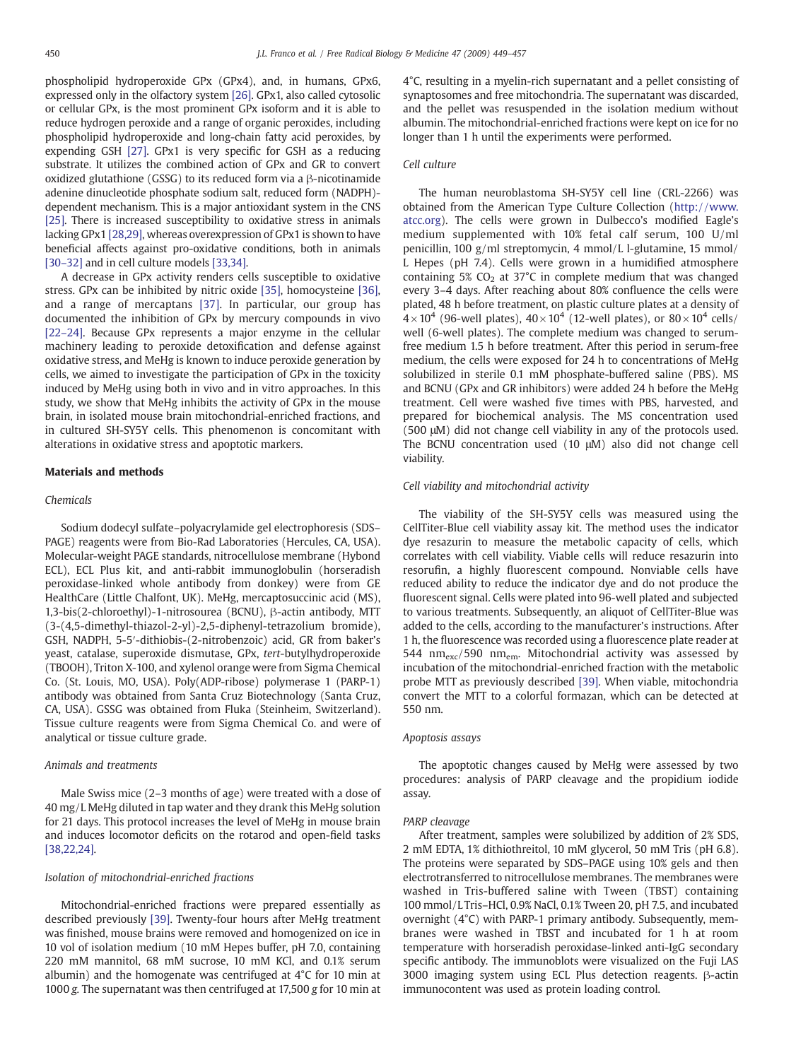phospholipid hydroperoxide GPx (GPx4), and, in humans, GPx6, expressed only in the olfactory system [\[26\]](#page-7-0). GPx1, also called cytosolic or cellular GPx, is the most prominent GPx isoform and it is able to reduce hydrogen peroxide and a range of organic peroxides, including phospholipid hydroperoxide and long-chain fatty acid peroxides, by expending GSH [\[27\].](#page-7-0) GPx1 is very specific for GSH as a reducing substrate. It utilizes the combined action of GPx and GR to convert oxidized glutathione (GSSG) to its reduced form via a β-nicotinamide adenine dinucleotide phosphate sodium salt, reduced form (NADPH) dependent mechanism. This is a major antioxidant system in the CNS [\[25\]](#page-7-0). There is increased susceptibility to oxidative stress in animals lacking GPx1 [\[28,29\]](#page-7-0), whereas overexpression of GPx1 is shown to have beneficial affects against pro-oxidative conditions, both in animals [30–[32\]](#page-7-0) and in cell culture models [\[33,34\]](#page-7-0).

A decrease in GPx activity renders cells susceptible to oxidative stress. GPx can be inhibited by nitric oxide [\[35\],](#page-7-0) homocysteine [\[36\],](#page-7-0) and a range of mercaptans [\[37\]](#page-7-0). In particular, our group has documented the inhibition of GPx by mercury compounds in vivo [22–[24\]](#page-7-0). Because GPx represents a major enzyme in the cellular machinery leading to peroxide detoxification and defense against oxidative stress, and MeHg is known to induce peroxide generation by cells, we aimed to investigate the participation of GPx in the toxicity induced by MeHg using both in vivo and in vitro approaches. In this study, we show that MeHg inhibits the activity of GPx in the mouse brain, in isolated mouse brain mitochondrial-enriched fractions, and in cultured SH-SY5Y cells. This phenomenon is concomitant with alterations in oxidative stress and apoptotic markers.

# Materials and methods

#### Chemicals

Sodium dodecyl sulfate–polyacrylamide gel electrophoresis (SDS– PAGE) reagents were from Bio-Rad Laboratories (Hercules, CA, USA). Molecular-weight PAGE standards, nitrocellulose membrane (Hybond ECL), ECL Plus kit, and anti-rabbit immunoglobulin (horseradish peroxidase-linked whole antibody from donkey) were from GE HealthCare (Little Chalfont, UK). MeHg, mercaptosuccinic acid (MS), 1,3-bis(2-chloroethyl)-1-nitrosourea (BCNU), β-actin antibody, MTT (3-(4,5-dimethyl-thiazol-2-yl)-2,5-diphenyl-tetrazolium bromide), GSH, NADPH, 5-5′-dithiobis-(2-nitrobenzoic) acid, GR from baker's yeast, catalase, superoxide dismutase, GPx, tert-butylhydroperoxide (TBOOH), Triton X-100, and xylenol orange were from Sigma Chemical Co. (St. Louis, MO, USA). Poly(ADP-ribose) polymerase 1 (PARP-1) antibody was obtained from Santa Cruz Biotechnology (Santa Cruz, CA, USA). GSSG was obtained from Fluka (Steinheim, Switzerland). Tissue culture reagents were from Sigma Chemical Co. and were of analytical or tissue culture grade.

# Animals and treatments

Male Swiss mice (2–3 months of age) were treated with a dose of 40 mg/L MeHg diluted in tap water and they drank this MeHg solution for 21 days. This protocol increases the level of MeHg in mouse brain and induces locomotor deficits on the rotarod and open-field tasks [\[38,22,24\]](#page-7-0).

# Isolation of mitochondrial-enriched fractions

Mitochondrial-enriched fractions were prepared essentially as described previously [\[39\]](#page-7-0). Twenty-four hours after MeHg treatment was finished, mouse brains were removed and homogenized on ice in 10 vol of isolation medium (10 mM Hepes buffer, pH 7.0, containing 220 mM mannitol, 68 mM sucrose, 10 mM KCl, and 0.1% serum albumin) and the homogenate was centrifuged at 4°C for 10 min at 1000 g. The supernatant was then centrifuged at 17,500 g for 10 min at 4°C, resulting in a myelin-rich supernatant and a pellet consisting of synaptosomes and free mitochondria. The supernatant was discarded, and the pellet was resuspended in the isolation medium without albumin. The mitochondrial-enriched fractions were kept on ice for no longer than 1 h until the experiments were performed.

# Cell culture

The human neuroblastoma SH-SY5Y cell line (CRL-2266) was obtained from the American Type Culture Collection ([http://www.](http://www.atcc.org) [atcc.org\)](http://www.atcc.org). The cells were grown in Dulbecco's modified Eagle's medium supplemented with 10% fetal calf serum, 100 U/ml penicillin, 100 g/ml streptomycin, 4 mmol/L l-glutamine, 15 mmol/ L Hepes (pH 7.4). Cells were grown in a humidified atmosphere containing 5%  $CO<sub>2</sub>$  at 37°C in complete medium that was changed every 3–4 days. After reaching about 80% confluence the cells were plated, 48 h before treatment, on plastic culture plates at a density of  $4\times10^4$  (96-well plates),  $40\times10^4$  (12-well plates), or  $80\times10^4$  cells/ well (6-well plates). The complete medium was changed to serumfree medium 1.5 h before treatment. After this period in serum-free medium, the cells were exposed for 24 h to concentrations of MeHg solubilized in sterile 0.1 mM phosphate-buffered saline (PBS). MS and BCNU (GPx and GR inhibitors) were added 24 h before the MeHg treatment. Cell were washed five times with PBS, harvested, and prepared for biochemical analysis. The MS concentration used (500 μM) did not change cell viability in any of the protocols used. The BCNU concentration used (10 μM) also did not change cell viability.

# Cell viability and mitochondrial activity

The viability of the SH-SY5Y cells was measured using the CellTiter-Blue cell viability assay kit. The method uses the indicator dye resazurin to measure the metabolic capacity of cells, which correlates with cell viability. Viable cells will reduce resazurin into resorufin, a highly fluorescent compound. Nonviable cells have reduced ability to reduce the indicator dye and do not produce the fluorescent signal. Cells were plated into 96-well plated and subjected to various treatments. Subsequently, an aliquot of CellTiter-Blue was added to the cells, according to the manufacturer's instructions. After 1 h, the fluorescence was recorded using a fluorescence plate reader at 544  $nm_{exc}/590$  nm<sub>em</sub>. Mitochondrial activity was assessed by incubation of the mitochondrial-enriched fraction with the metabolic probe MTT as previously described [\[39\].](#page-7-0) When viable, mitochondria convert the MTT to a colorful formazan, which can be detected at 550 nm.

# Apoptosis assays

The apoptotic changes caused by MeHg were assessed by two procedures: analysis of PARP cleavage and the propidium iodide assay.

#### PARP cleavage

After treatment, samples were solubilized by addition of 2% SDS, 2 mM EDTA, 1% dithiothreitol, 10 mM glycerol, 50 mM Tris (pH 6.8). The proteins were separated by SDS–PAGE using 10% gels and then electrotransferred to nitrocellulose membranes. The membranes were washed in Tris-buffered saline with Tween (TBST) containing 100 mmol/L Tris–HCl, 0.9% NaCl, 0.1% Tween 20, pH 7.5, and incubated overnight (4°C) with PARP-1 primary antibody. Subsequently, membranes were washed in TBST and incubated for 1 h at room temperature with horseradish peroxidase-linked anti-IgG secondary specific antibody. The immunoblots were visualized on the Fuji LAS 3000 imaging system using ECL Plus detection reagents. β-actin immunocontent was used as protein loading control.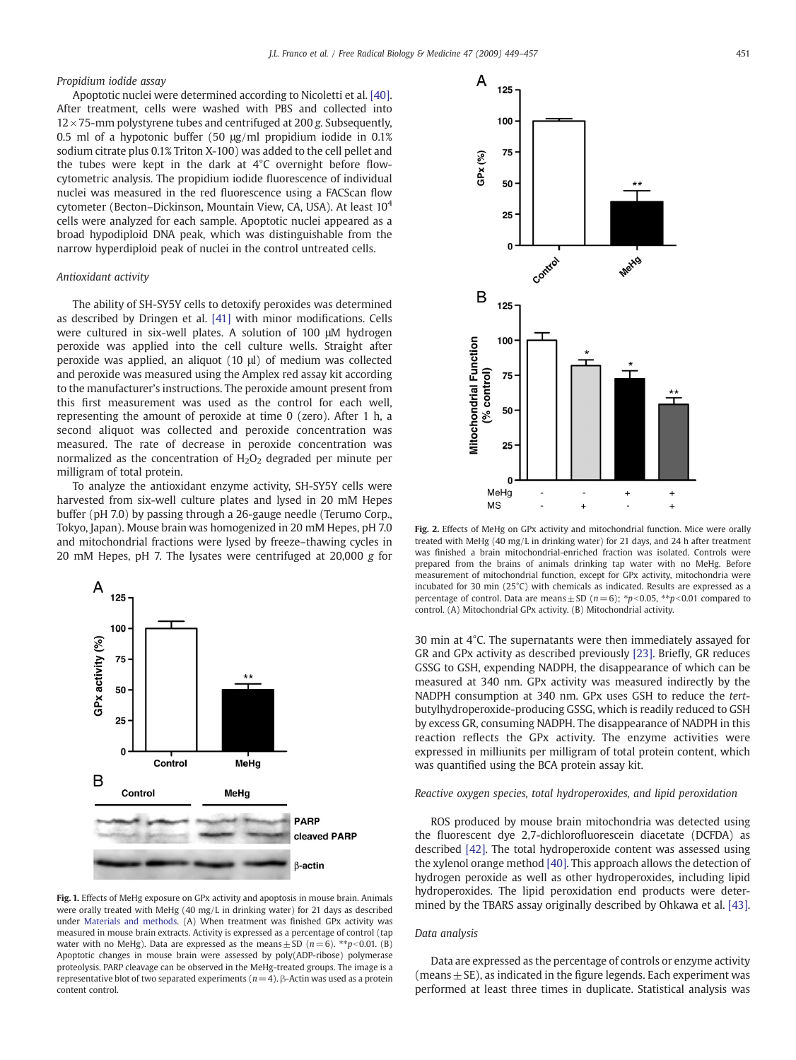# <span id="page-2-0"></span>Propidium iodide assay

Apoptotic nuclei were determined according to Nicoletti et al. [\[40\].](#page-7-0) After treatment, cells were washed with PBS and collected into  $12 \times 75$ -mm polystyrene tubes and centrifuged at 200 g. Subsequently, 0.5 ml of a hypotonic buffer (50 μg/ml propidium iodide in 0.1% sodium citrate plus 0.1% Triton X-100) was added to the cell pellet and the tubes were kept in the dark at 4°C overnight before flowcytometric analysis. The propidium iodide fluorescence of individual nuclei was measured in the red fluorescence using a FACScan flow cytometer (Becton–Dickinson, Mountain View, CA, USA). At least 10<sup>4</sup> cells were analyzed for each sample. Apoptotic nuclei appeared as a broad hypodiploid DNA peak, which was distinguishable from the narrow hyperdiploid peak of nuclei in the control untreated cells.

# Antioxidant activity

The ability of SH-SY5Y cells to detoxify peroxides was determined as described by Dringen et al. [\[41\]](#page-7-0) with minor modifications. Cells were cultured in six-well plates. A solution of 100 μM hydrogen peroxide was applied into the cell culture wells. Straight after peroxide was applied, an aliquot (10 μl) of medium was collected and peroxide was measured using the Amplex red assay kit according to the manufacturer's instructions. The peroxide amount present from this first measurement was used as the control for each well, representing the amount of peroxide at time 0 (zero). After 1 h, a second aliquot was collected and peroxide concentration was measured. The rate of decrease in peroxide concentration was normalized as the concentration of  $H_2O_2$  degraded per minute per milligram of total protein.

To analyze the antioxidant enzyme activity, SH-SY5Y cells were harvested from six-well culture plates and lysed in 20 mM Hepes buffer (pH 7.0) by passing through a 26-gauge needle (Terumo Corp., Tokyo, Japan). Mouse brain was homogenized in 20 mM Hepes, pH 7.0 and mitochondrial fractions were lysed by freeze–thawing cycles in 20 mM Hepes, pH 7. The lysates were centrifuged at 20,000 g for



Fig. 1. Effects of MeHg exposure on GPx activity and apoptosis in mouse brain. Animals were orally treated with MeHg (40 mg/L in drinking water) for 21 days as described under Materials and methods. (A) When treatment was finished GPx activity was measured in mouse brain extracts. Activity is expressed as a percentage of control (tap water with no MeHg). Data are expressed as the means  $\pm$  SD ( $n=6$ ). \*\* $p<0.01$ . (B) Apoptotic changes in mouse brain were assessed by poly(ADP-ribose) polymerase proteolysis. PARP cleavage can be observed in the MeHg-treated groups. The image is a representative blot of two separated experiments ( $n = 4$ ). β-Actin was used as a protein content control.



Fig. 2. Effects of MeHg on GPx activity and mitochondrial function. Mice were orally treated with MeHg (40 mg/L in drinking water) for 21 days, and 24 h after treatment was finished a brain mitochondrial-enriched fraction was isolated. Controls were prepared from the brains of animals drinking tap water with no MeHg. Before measurement of mitochondrial function, except for GPx activity, mitochondria were incubated for 30 min (25°C) with chemicals as indicated. Results are expressed as a percentage of control. Data are means  $\pm$  SD (n=6); \*p<0.05, \*\*p<0.01 compared to control. (A) Mitochondrial GPx activity. (B) Mitochondrial activity.

30 min at 4°C. The supernatants were then immediately assayed for GR and GPx activity as described previously [\[23\]](#page-7-0). Briefly, GR reduces GSSG to GSH, expending NADPH, the disappearance of which can be measured at 340 nm. GPx activity was measured indirectly by the NADPH consumption at 340 nm. GPx uses GSH to reduce the tertbutylhydroperoxide-producing GSSG, which is readily reduced to GSH by excess GR, consuming NADPH. The disappearance of NADPH in this reaction reflects the GPx activity. The enzyme activities were expressed in milliunits per milligram of total protein content, which was quantified using the BCA protein assay kit.

# Reactive oxygen species, total hydroperoxides, and lipid peroxidation

ROS produced by mouse brain mitochondria was detected using the fluorescent dye 2,7-dichlorofluorescein diacetate (DCFDA) as described [\[42\]](#page-7-0). The total hydroperoxide content was assessed using the xylenol orange method [\[40\]](#page-7-0). This approach allows the detection of hydrogen peroxide as well as other hydroperoxides, including lipid hydroperoxides. The lipid peroxidation end products were determined by the TBARS assay originally described by Ohkawa et al. [\[43\].](#page-7-0)

# Data analysis

Data are expressed as the percentage of controls or enzyme activity (means  $\pm$  SE), as indicated in the figure legends. Each experiment was performed at least three times in duplicate. Statistical analysis was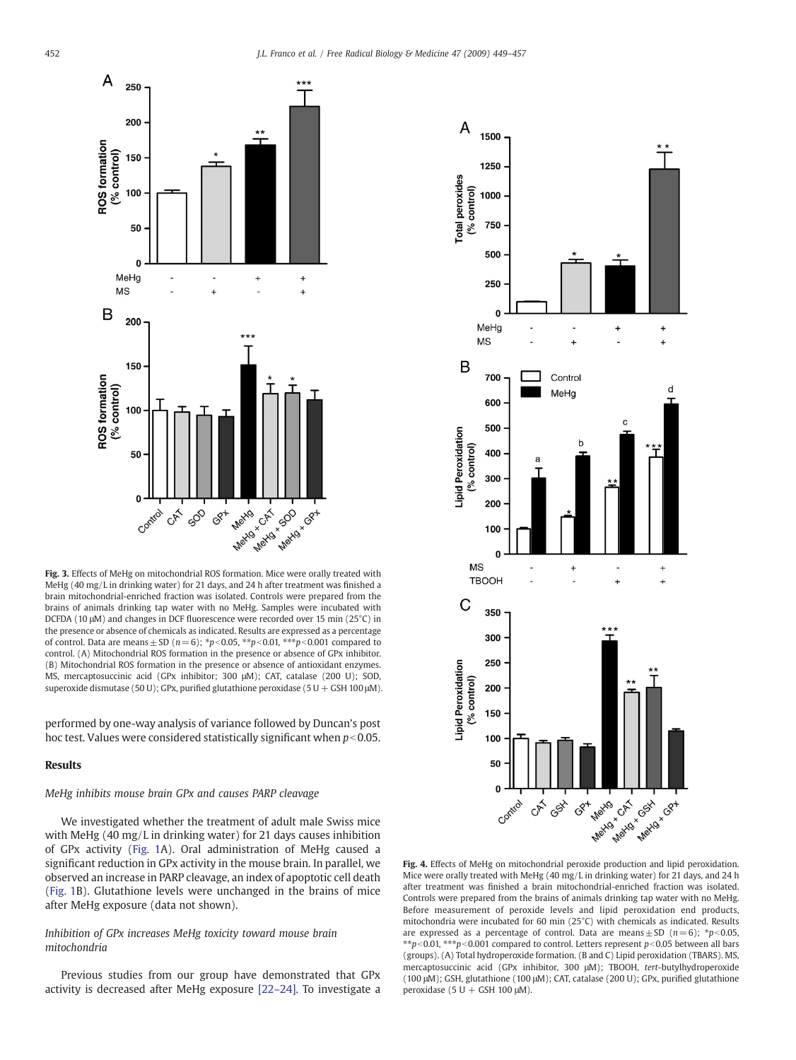<span id="page-3-0"></span>

Fig. 3. Effects of MeHg on mitochondrial ROS formation. Mice were orally treated with MeHg (40 mg/L in drinking water) for 21 days, and 24 h after treatment was finished a brain mitochondrial-enriched fraction was isolated. Controls were prepared from the brains of animals drinking tap water with no MeHg. Samples were incubated with DCFDA (10 μM) and changes in DCF fluorescence were recorded over 15 min (25°C) in the presence or absence of chemicals as indicated. Results are expressed as a percentage of control. Data are means  $\pm$  SD ( $n=6$ );  $*p<0.05$ ,  $**p<0.01$ ,  $***p<0.001$  compared to control. (A) Mitochondrial ROS formation in the presence or absence of GPx inhibitor. (B) Mitochondrial ROS formation in the presence or absence of antioxidant enzymes. MS, mercaptosuccinic acid (GPx inhibitor; 300 μM); CAT, catalase (200 U); SOD, superoxide dismutase (50 U); GPx, purified glutathione peroxidase (5 U + GSH 100 μM).

performed by one-way analysis of variance followed by Duncan's post hoc test. Values were considered statistically significant when  $p<0.05$ .

# Results

# MeHg inhibits mouse brain GPx and causes PARP cleavage

We investigated whether the treatment of adult male Swiss mice with MeHg (40 mg/L in drinking water) for 21 days causes inhibition of GPx activity [\(Fig. 1](#page-2-0)A). Oral administration of MeHg caused a significant reduction in GPx activity in the mouse brain. In parallel, we observed an increase in PARP cleavage, an index of apoptotic cell death [\(Fig. 1](#page-2-0)B). Glutathione levels were unchanged in the brains of mice after MeHg exposure (data not shown).

# Inhibition of GPx increases MeHg toxicity toward mouse brain mitochondria

Previous studies from our group have demonstrated that GPx activity is decreased after MeHg exposure [\[22](#page-7-0)–24]. To investigate a



Fig. 4. Effects of MeHg on mitochondrial peroxide production and lipid peroxidation. Mice were orally treated with MeHg (40 mg/L in drinking water) for 21 days, and 24 h after treatment was finished a brain mitochondrial-enriched fraction was isolated. Controls were prepared from the brains of animals drinking tap water with no MeHg. Before measurement of peroxide levels and lipid peroxidation end products, mitochondria were incubated for 60 min (25°C) with chemicals as indicated. Results are expressed as a percentage of control. Data are means  $\pm$  SD (n=6); \*p<0.05, *<u>\*\*p<0.01*, \*\*\*p<0.001 compared to control. Letters represent p<0.05 between all bars</u> (groups). (A) Total hydroperoxide formation. (B and C) Lipid peroxidation (TBARS). MS, mercaptosuccinic acid (GPx inhibitor, 300 μM); TBOOH, tert-butylhydroperoxide (100 μM); GSH, glutathione (100 μM); CAT, catalase (200 U); GPx, purified glutathione peroxidase (5 U + GSH 100  $\mu$ M).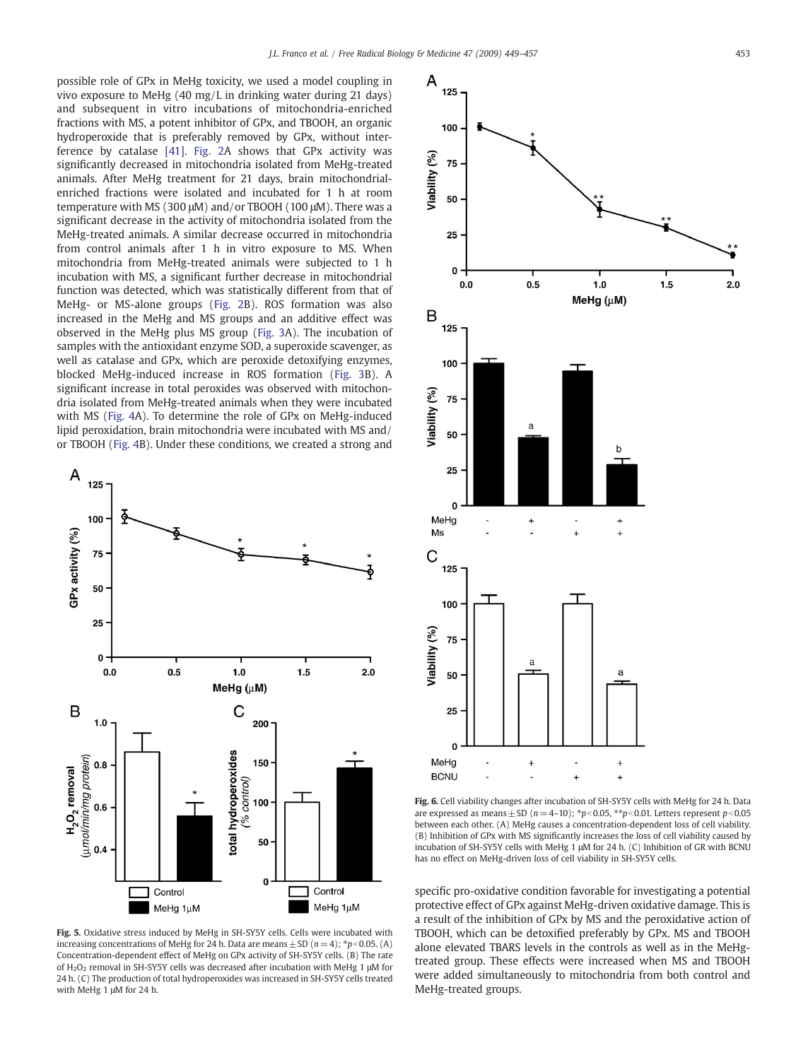<span id="page-4-0"></span>possible role of GPx in MeHg toxicity, we used a model coupling in vivo exposure to MeHg (40 mg/L in drinking water during 21 days) and subsequent in vitro incubations of mitochondria-enriched fractions with MS, a potent inhibitor of GPx, and TBOOH, an organic hydroperoxide that is preferably removed by GPx, without interference by catalase [\[41\]](#page-7-0). [Fig. 2A](#page-2-0) shows that GPx activity was significantly decreased in mitochondria isolated from MeHg-treated animals. After MeHg treatment for 21 days, brain mitochondrialenriched fractions were isolated and incubated for 1 h at room temperature with MS (300 μM) and/or TBOOH (100 μM). There was a significant decrease in the activity of mitochondria isolated from the MeHg-treated animals. A similar decrease occurred in mitochondria from control animals after 1 h in vitro exposure to MS. When mitochondria from MeHg-treated animals were subjected to 1 h incubation with MS, a significant further decrease in mitochondrial function was detected, which was statistically different from that of MeHg- or MS-alone groups [\(Fig. 2B](#page-2-0)). ROS formation was also increased in the MeHg and MS groups and an additive effect was observed in the MeHg plus MS group ([Fig. 3](#page-3-0)A). The incubation of samples with the antioxidant enzyme SOD, a superoxide scavenger, as well as catalase and GPx, which are peroxide detoxifying enzymes, blocked MeHg-induced increase in ROS formation [\(Fig. 3B](#page-3-0)). A significant increase in total peroxides was observed with mitochondria isolated from MeHg-treated animals when they were incubated with MS ([Fig. 4A](#page-3-0)). To determine the role of GPx on MeHg-induced lipid peroxidation, brain mitochondria were incubated with MS and/ or TBOOH ([Fig. 4](#page-3-0)B). Under these conditions, we created a strong and



Fig. 5. Oxidative stress induced by MeHg in SH-SY5Y cells. Cells were incubated with increasing concentrations of MeHg for 24 h. Data are means  $\pm$  SD (n = 4);  $*p<0.05$ . (A) Concentration-dependent effect of MeHg on GPx activity of SH-SY5Y cells. (B) The rate of H2O2 removal in SH-SY5Y cells was decreased after incubation with MeHg 1 μM for 24 h. (C) The production of total hydroperoxides was increased in SH-SY5Y cells treated with MeHg 1 μM for 24 h.



Fig. 6. Cell viability changes after incubation of SH-SY5Y cells with MeHg for 24 h. Data are expressed as means  $\pm$  SD (n=4–10); \*p<0.05, \*\*p<0.01. Letters represent p<0.05 between each other. (A) MeHg causes a concentration-dependent loss of cell viability. (B) Inhibition of GPx with MS significantly increases the loss of cell viability caused by incubation of SH-SY5Y cells with MeHg 1 μM for 24 h. (C) Inhibition of GR with BCNU has no effect on MeHg-driven loss of cell viability in SH-SY5Y cells.

specific pro-oxidative condition favorable for investigating a potential protective effect of GPx against MeHg-driven oxidative damage. This is a result of the inhibition of GPx by MS and the peroxidative action of TBOOH, which can be detoxified preferably by GPx. MS and TBOOH alone elevated TBARS levels in the controls as well as in the MeHgtreated group. These effects were increased when MS and TBOOH were added simultaneously to mitochondria from both control and MeHg-treated groups.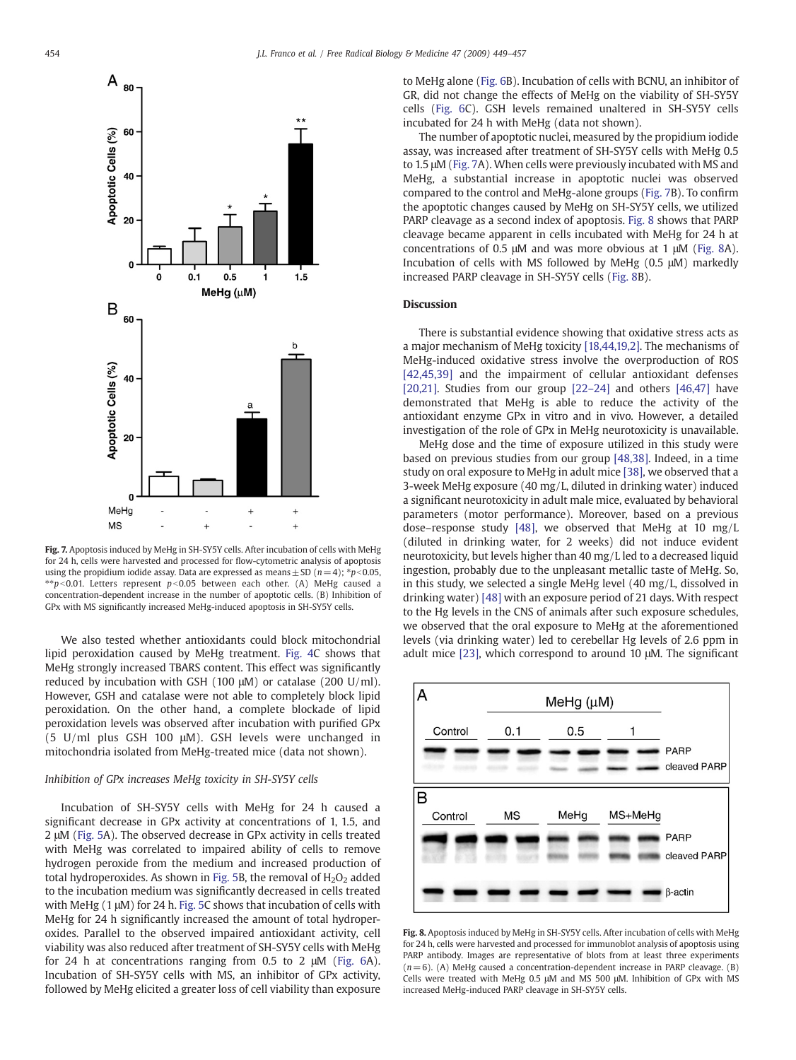

Fig. 7. Apoptosis induced by MeHg in SH-SY5Y cells. After incubation of cells with MeHg for 24 h, cells were harvested and processed for flow-cytometric analysis of apoptosis using the propidium iodide assay. Data are expressed as means  $\pm$  SD (n = 4); \*p<0.05,  $*p$  < 0.01. Letters represent p < 0.05 between each other. (A) MeHg caused a concentration-dependent increase in the number of apoptotic cells. (B) Inhibition of GPx with MS significantly increased MeHg-induced apoptosis in SH-SY5Y cells.

We also tested whether antioxidants could block mitochondrial lipid peroxidation caused by MeHg treatment. [Fig. 4C](#page-3-0) shows that MeHg strongly increased TBARS content. This effect was significantly reduced by incubation with GSH (100 μM) or catalase (200 U/ml). However, GSH and catalase were not able to completely block lipid peroxidation. On the other hand, a complete blockade of lipid peroxidation levels was observed after incubation with purified GPx (5 U/ml plus GSH 100 μM). GSH levels were unchanged in mitochondria isolated from MeHg-treated mice (data not shown).

# Inhibition of GPx increases MeHg toxicity in SH-SY5Y cells

Incubation of SH-SY5Y cells with MeHg for 24 h caused a significant decrease in GPx activity at concentrations of 1, 1.5, and 2 μM [\(Fig. 5](#page-4-0)A). The observed decrease in GPx activity in cells treated with MeHg was correlated to impaired ability of cells to remove hydrogen peroxide from the medium and increased production of total hydroperoxides. As shown in [Fig. 5](#page-4-0)B, the removal of  $H_2O_2$  added to the incubation medium was significantly decreased in cells treated with MeHg (1 μM) for 24 h. [Fig. 5C](#page-4-0) shows that incubation of cells with MeHg for 24 h significantly increased the amount of total hydroperoxides. Parallel to the observed impaired antioxidant activity, cell viability was also reduced after treatment of SH-SY5Y cells with MeHg for 24 h at concentrations ranging from 0.5 to 2 μM ([Fig. 6](#page-4-0)A). Incubation of SH-SY5Y cells with MS, an inhibitor of GPx activity, followed by MeHg elicited a greater loss of cell viability than exposure to MeHg alone ([Fig. 6B](#page-4-0)). Incubation of cells with BCNU, an inhibitor of GR, did not change the effects of MeHg on the viability of SH-SY5Y cells [\(Fig. 6](#page-4-0)C). GSH levels remained unaltered in SH-SY5Y cells incubated for 24 h with MeHg (data not shown).

The number of apoptotic nuclei, measured by the propidium iodide assay, was increased after treatment of SH-SY5Y cells with MeHg 0.5 to 1.5 μM (Fig. 7A). When cells were previously incubated with MS and MeHg, a substantial increase in apoptotic nuclei was observed compared to the control and MeHg-alone groups (Fig. 7B). To confirm the apoptotic changes caused by MeHg on SH-SY5Y cells, we utilized PARP cleavage as a second index of apoptosis. Fig. 8 shows that PARP cleavage became apparent in cells incubated with MeHg for 24 h at concentrations of 0.5 μM and was more obvious at 1 μM (Fig. 8A). Incubation of cells with MS followed by MeHg (0.5 μM) markedly increased PARP cleavage in SH-SY5Y cells (Fig. 8B).

# **Discussion**

There is substantial evidence showing that oxidative stress acts as a major mechanism of MeHg toxicity [\[18,44,19,2\].](#page-7-0) The mechanisms of MeHg-induced oxidative stress involve the overproduction of ROS [\[42,45,39\]](#page-7-0) and the impairment of cellular antioxidant defenses [\[20,21\]](#page-7-0). Studies from our group [\[22](#page-7-0)–24] and others [\[46,47\]](#page-7-0) have demonstrated that MeHg is able to reduce the activity of the antioxidant enzyme GPx in vitro and in vivo. However, a detailed investigation of the role of GPx in MeHg neurotoxicity is unavailable.

MeHg dose and the time of exposure utilized in this study were based on previous studies from our group [\[48,38\]](#page-7-0). Indeed, in a time study on oral exposure to MeHg in adult mice [\[38\]](#page-7-0), we observed that a 3-week MeHg exposure (40 mg/L, diluted in drinking water) induced a significant neurotoxicity in adult male mice, evaluated by behavioral parameters (motor performance). Moreover, based on a previous dose–response study [\[48\]](#page-7-0), we observed that MeHg at 10 mg/L (diluted in drinking water, for 2 weeks) did not induce evident neurotoxicity, but levels higher than 40 mg/L led to a decreased liquid ingestion, probably due to the unpleasant metallic taste of MeHg. So, in this study, we selected a single MeHg level (40 mg/L, dissolved in drinking water) [\[48\]](#page-7-0) with an exposure period of 21 days. With respect to the Hg levels in the CNS of animals after such exposure schedules, we observed that the oral exposure to MeHg at the aforementioned levels (via drinking water) led to cerebellar Hg levels of 2.6 ppm in adult mice [\[23\]](#page-7-0), which correspond to around 10 μM. The significant



Fig. 8. Apoptosis induced by MeHg in SH-SY5Y cells. After incubation of cells with MeHg for 24 h, cells were harvested and processed for immunoblot analysis of apoptosis using PARP antibody. Images are representative of blots from at least three experiments  $(n= 6)$ . (A) MeHg caused a concentration-dependent increase in PARP cleavage. (B) Cells were treated with MeHg 0.5 μM and MS 500 μM. Inhibition of GPx with MS increased MeHg-induced PARP cleavage in SH-SY5Y cells.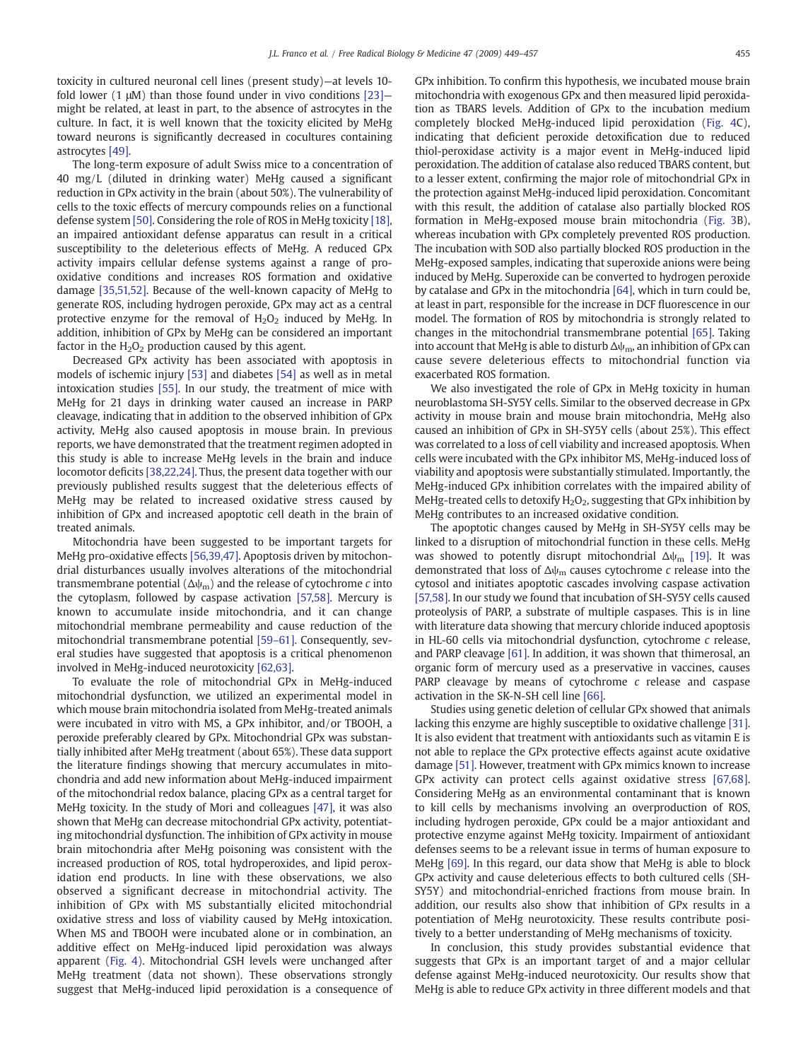toxicity in cultured neuronal cell lines (present study)—at levels 10 fold lower (1  $\mu$ M) than those found under in vivo conditions [\[23\]](#page-7-0) might be related, at least in part, to the absence of astrocytes in the culture. In fact, it is well known that the toxicity elicited by MeHg toward neurons is significantly decreased in cocultures containing astrocytes [\[49\]](#page-7-0).

The long-term exposure of adult Swiss mice to a concentration of 40 mg/L (diluted in drinking water) MeHg caused a significant reduction in GPx activity in the brain (about 50%). The vulnerability of cells to the toxic effects of mercury compounds relies on a functional defense system [\[50\]](#page-7-0). Considering the role of ROS in MeHg toxicity [\[18\],](#page-7-0) an impaired antioxidant defense apparatus can result in a critical susceptibility to the deleterious effects of MeHg. A reduced GPx activity impairs cellular defense systems against a range of prooxidative conditions and increases ROS formation and oxidative damage [\[35,51,52\]](#page-7-0). Because of the well-known capacity of MeHg to generate ROS, including hydrogen peroxide, GPx may act as a central protective enzyme for the removal of  $H_2O_2$  induced by MeHg. In addition, inhibition of GPx by MeHg can be considered an important factor in the  $H_2O_2$  production caused by this agent.

Decreased GPx activity has been associated with apoptosis in models of ischemic injury [\[53\]](#page-8-0) and diabetes [\[54\]](#page-8-0) as well as in metal intoxication studies [\[55\]](#page-8-0). In our study, the treatment of mice with MeHg for 21 days in drinking water caused an increase in PARP cleavage, indicating that in addition to the observed inhibition of GPx activity, MeHg also caused apoptosis in mouse brain. In previous reports, we have demonstrated that the treatment regimen adopted in this study is able to increase MeHg levels in the brain and induce locomotor deficits [\[38,22,24\].](#page-7-0) Thus, the present data together with our previously published results suggest that the deleterious effects of MeHg may be related to increased oxidative stress caused by inhibition of GPx and increased apoptotic cell death in the brain of treated animals.

Mitochondria have been suggested to be important targets for MeHg pro-oxidative effects [\[56,39,47\].](#page-8-0) Apoptosis driven by mitochondrial disturbances usually involves alterations of the mitochondrial transmembrane potential ( $\Delta\psi_m$ ) and the release of cytochrome c into the cytoplasm, followed by caspase activation [\[57,58\].](#page-8-0) Mercury is known to accumulate inside mitochondria, and it can change mitochondrial membrane permeability and cause reduction of the mitochondrial transmembrane potential [\[59](#page-8-0)–61]. Consequently, several studies have suggested that apoptosis is a critical phenomenon involved in MeHg-induced neurotoxicity [\[62,63\]](#page-8-0).

To evaluate the role of mitochondrial GPx in MeHg-induced mitochondrial dysfunction, we utilized an experimental model in which mouse brain mitochondria isolated from MeHg-treated animals were incubated in vitro with MS, a GPx inhibitor, and/or TBOOH, a peroxide preferably cleared by GPx. Mitochondrial GPx was substantially inhibited after MeHg treatment (about 65%). These data support the literature findings showing that mercury accumulates in mitochondria and add new information about MeHg-induced impairment of the mitochondrial redox balance, placing GPx as a central target for MeHg toxicity. In the study of Mori and colleagues [\[47\],](#page-7-0) it was also shown that MeHg can decrease mitochondrial GPx activity, potentiating mitochondrial dysfunction. The inhibition of GPx activity in mouse brain mitochondria after MeHg poisoning was consistent with the increased production of ROS, total hydroperoxides, and lipid peroxidation end products. In line with these observations, we also observed a significant decrease in mitochondrial activity. The inhibition of GPx with MS substantially elicited mitochondrial oxidative stress and loss of viability caused by MeHg intoxication. When MS and TBOOH were incubated alone or in combination, an additive effect on MeHg-induced lipid peroxidation was always apparent [\(Fig. 4](#page-3-0)). Mitochondrial GSH levels were unchanged after MeHg treatment (data not shown). These observations strongly suggest that MeHg-induced lipid peroxidation is a consequence of GPx inhibition. To confirm this hypothesis, we incubated mouse brain mitochondria with exogenous GPx and then measured lipid peroxidation as TBARS levels. Addition of GPx to the incubation medium completely blocked MeHg-induced lipid peroxidation ([Fig. 4](#page-3-0)C), indicating that deficient peroxide detoxification due to reduced thiol-peroxidase activity is a major event in MeHg-induced lipid peroxidation. The addition of catalase also reduced TBARS content, but to a lesser extent, confirming the major role of mitochondrial GPx in the protection against MeHg-induced lipid peroxidation. Concomitant with this result, the addition of catalase also partially blocked ROS formation in MeHg-exposed mouse brain mitochondria [\(Fig. 3B](#page-3-0)), whereas incubation with GPx completely prevented ROS production. The incubation with SOD also partially blocked ROS production in the MeHg-exposed samples, indicating that superoxide anions were being induced by MeHg. Superoxide can be converted to hydrogen peroxide by catalase and GPx in the mitochondria [\[64\]](#page-8-0), which in turn could be, at least in part, responsible for the increase in DCF fluorescence in our model. The formation of ROS by mitochondria is strongly related to changes in the mitochondrial transmembrane potential [\[65\].](#page-8-0) Taking into account that MeHg is able to disturb  $\Delta\psi_m$ , an inhibition of GPx can cause severe deleterious effects to mitochondrial function via exacerbated ROS formation.

We also investigated the role of GPx in MeHg toxicity in human neuroblastoma SH-SY5Y cells. Similar to the observed decrease in GPx activity in mouse brain and mouse brain mitochondria, MeHg also caused an inhibition of GPx in SH-SY5Y cells (about 25%). This effect was correlated to a loss of cell viability and increased apoptosis. When cells were incubated with the GPx inhibitor MS, MeHg-induced loss of viability and apoptosis were substantially stimulated. Importantly, the MeHg-induced GPx inhibition correlates with the impaired ability of MeHg-treated cells to detoxify  $H_2O_2$ , suggesting that GPx inhibition by MeHg contributes to an increased oxidative condition.

The apoptotic changes caused by MeHg in SH-SY5Y cells may be linked to a disruption of mitochondrial function in these cells. MeHg was showed to potently disrupt mitochondrial  $\Delta \psi_{\rm m}$  [\[19\].](#page-7-0) It was demonstrated that loss of  $\Delta\psi_m$  causes cytochrome c release into the cytosol and initiates apoptotic cascades involving caspase activation [\[57,58\]](#page-8-0). In our study we found that incubation of SH-SY5Y cells caused proteolysis of PARP, a substrate of multiple caspases. This is in line with literature data showing that mercury chloride induced apoptosis in HL-60 cells via mitochondrial dysfunction, cytochrome c release, and PARP cleavage [\[61\].](#page-8-0) In addition, it was shown that thimerosal, an organic form of mercury used as a preservative in vaccines, causes PARP cleavage by means of cytochrome c release and caspase activation in the SK-N-SH cell line [\[66\]](#page-8-0).

Studies using genetic deletion of cellular GPx showed that animals lacking this enzyme are highly susceptible to oxidative challenge [\[31\].](#page-7-0) It is also evident that treatment with antioxidants such as vitamin E is not able to replace the GPx protective effects against acute oxidative damage [\[51\]](#page-7-0). However, treatment with GPx mimics known to increase GPx activity can protect cells against oxidative stress [\[67,68\].](#page-8-0) Considering MeHg as an environmental contaminant that is known to kill cells by mechanisms involving an overproduction of ROS, including hydrogen peroxide, GPx could be a major antioxidant and protective enzyme against MeHg toxicity. Impairment of antioxidant defenses seems to be a relevant issue in terms of human exposure to MeHg [\[69\].](#page-8-0) In this regard, our data show that MeHg is able to block GPx activity and cause deleterious effects to both cultured cells (SH-SY5Y) and mitochondrial-enriched fractions from mouse brain. In addition, our results also show that inhibition of GPx results in a potentiation of MeHg neurotoxicity. These results contribute positively to a better understanding of MeHg mechanisms of toxicity.

In conclusion, this study provides substantial evidence that suggests that GPx is an important target of and a major cellular defense against MeHg-induced neurotoxicity. Our results show that MeHg is able to reduce GPx activity in three different models and that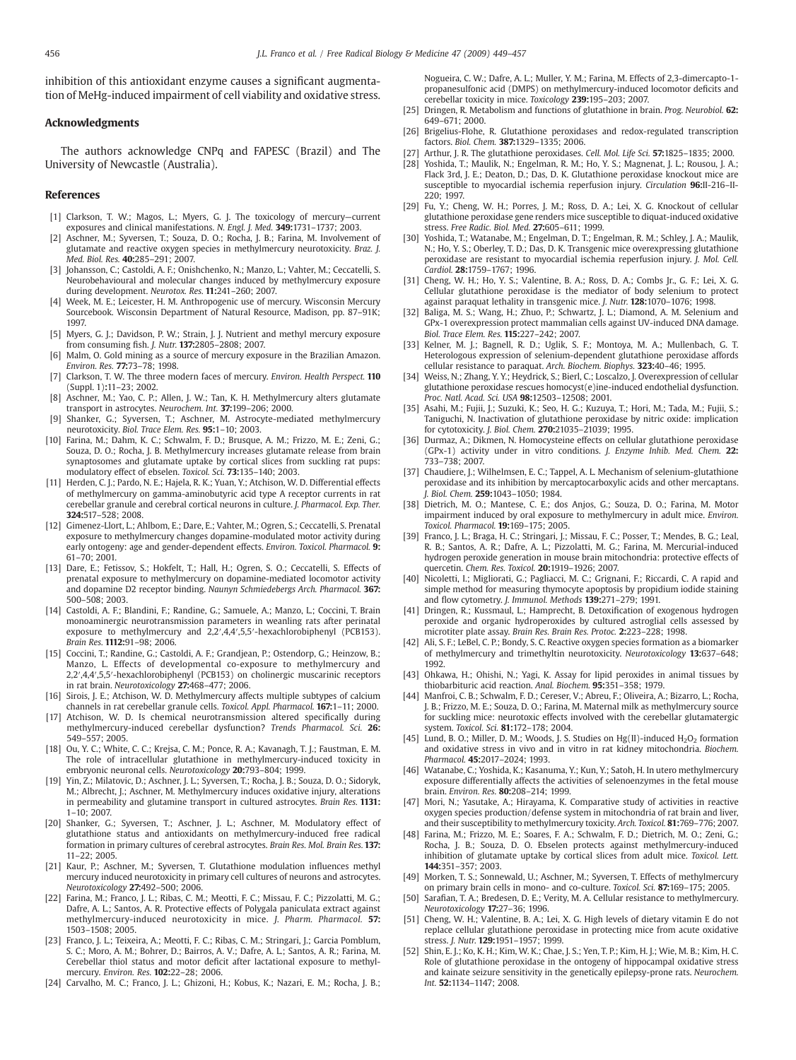<span id="page-7-0"></span>inhibition of this antioxidant enzyme causes a significant augmentation of MeHg-induced impairment of cell viability and oxidative stress.

## Acknowledgments

The authors acknowledge CNPq and FAPESC (Brazil) and The University of Newcastle (Australia).

# References

- [1] Clarkson, T. W.; Magos, L.; Myers, G. J. The toxicology of mercury—current exposures and clinical manifestations. N. Engl. J. Med. 349:1731–1737; 2003.
- Aschner, M.; Syversen, T.; Souza, D. O.; Rocha, J. B.; Farina, M. Involvement of glutamate and reactive oxygen species in methylmercury neurotoxicity. Braz. J. Med. Biol. Res. 40:285–291; 2007.
- [3] Johansson, C.; Castoldi, A. F.; Onishchenko, N.; Manzo, L.; Vahter, M.; Ceccatelli, S. Neurobehavioural and molecular changes induced by methylmercury exposure during development. Neurotox. Res. 11:241–260; 2007.
- Week, M. E.; Leicester, H. M. Anthropogenic use of mercury. Wisconsin Mercury Sourcebook. Wisconsin Department of Natural Resource, Madison, pp. 87–91K; 1997.
- Myers, G. J.; Davidson, P. W.; Strain, J. J. Nutrient and methyl mercury exposure from consuming fish. J. Nutr. 137:2805–2808; 2007.
- [6] Malm, O. Gold mining as a source of mercury exposure in the Brazilian Amazon. Environ. Res. 77:73–78; 1998.
- [7] Clarkson, T. W. The three modern faces of mercury. Environ. Health Perspect. 110 (Suppl. 1):11–23; 2002.
- [8] Aschner, M.; Yao, C. P.; Allen, J. W.; Tan, K. H. Methylmercury alters glutamate transport in astrocytes. Neurochem. Int. 37:199–206; 2000.
- [9] Shanker, G.; Syversen, T.; Aschner, M. Astrocyte-mediated methylmercury neurotoxicity. Biol. Trace Elem. Res. 95:1–10; 2003.
- [10] Farina, M.; Dahm, K. C.; Schwalm, F. D.; Brusque, A. M.; Frizzo, M. E.; Zeni, G.; Souza, D. O.; Rocha, J. B. Methylmercury increases glutamate release from brain synaptosomes and glutamate uptake by cortical slices from suckling rat pups: modulatory effect of ebselen. Toxicol. Sci. 73:135–140; 2003.
- [11] Herden, C. J.; Pardo, N. E.; Hajela, R. K.; Yuan, Y.; Atchison, W. D. Differential effects of methylmercury on gamma-aminobutyric acid type A receptor currents in rat cerebellar granule and cerebral cortical neurons in culture. J. Pharmacol. Exp. Ther. 324:517–528; 2008.
- [12] Gimenez-Llort, L.; Ahlbom, E.; Dare, E.; Vahter, M.; Ogren, S.; Ceccatelli, S. Prenatal exposure to methylmercury changes dopamine-modulated motor activity during early ontogeny: age and gender-dependent effects. Environ. Toxicol. Pharmacol. 9: 61–70; 2001.
- [13] Dare, E.; Fetissov, S.; Hokfelt, T.; Hall, H.; Ogren, S. O.; Ceccatelli, S. Effects of prenatal exposure to methylmercury on dopamine-mediated locomotor activity and dopamine D2 receptor binding. Naunyn Schmiedebergs Arch. Pharmacol. 367: 500–508; 2003.
- [14] Castoldi, A. F.; Blandini, F.; Randine, G.; Samuele, A.; Manzo, L.; Coccini, T. Brain monoaminergic neurotransmission parameters in weanling rats after perinatal exposure to methylmercury and 2,2′,4,4′,5,5′-hexachlorobiphenyl (PCB153). Brain Res. 1112:91–98; 2006.
- [15] Coccini, T.; Randine, G.; Castoldi, A. F.; Grandjean, P.; Ostendorp, G.; Heinzow, B.; Manzo, L. Effects of developmental co-exposure to methylmercury and 2,2′,4,4′,5,5′-hexachlorobiphenyl (PCB153) on cholinergic muscarinic receptors in rat brain. Neurotoxicology 27:468–477; 2006.
- [16] Sirois, J. E.; Atchison, W. D. Methylmercury affects multiple subtypes of calcium channels in rat cerebellar granule cells. Toxicol. Appl. Pharmacol. 167:1–11; 2000.
- [17] Atchison, W. D. Is chemical neurotransmission altered specifically during methylmercury-induced cerebellar dysfunction? Trends Pharmacol. Sci. 26: 549–557; 2005.
- [18] Ou, Y. C.; White, C. C.; Krejsa, C. M.; Ponce, R. A.; Kavanagh, T. J.; Faustman, E. M. The role of intracellular glutathione in methylmercury-induced toxicity in embryonic neuronal cells. Neurotoxicology 20:793–804; 1999.
- [19] Yin, Z.; Milatovic, D.; Aschner, J. L.; Syversen, T.; Rocha, J. B.; Souza, D. O.; Sidoryk, M.; Albrecht, J.; Aschner, M. Methylmercury induces oxidative injury, alterations in permeability and glutamine transport in cultured astrocytes. Brain Res. 1131: 1–10; 2007.
- [20] Shanker, G.; Syversen, T.; Aschner, J. L.; Aschner, M. Modulatory effect of glutathione status and antioxidants on methylmercury-induced free radical formation in primary cultures of cerebral astrocytes. Brain Res. Mol. Brain Res. 137: 11–22; 2005.
- [21] Kaur, P.; Aschner, M.; Syversen, T. Glutathione modulation influences methyl mercury induced neurotoxicity in primary cell cultures of neurons and astrocytes. Neurotoxicology 27:492-500; 2006.
- [22] Farina, M.; Franco, J. L.; Ribas, C. M.; Meotti, F. C.; Missau, F. C.; Pizzolatti, M. G.; Dafre, A. L.; Santos, A. R. Protective effects of Polygala paniculata extract against methylmercury-induced neurotoxicity in mice. J. Pharm. Pharmacol. 57: 1503–1508; 2005.
- [23] Franco, J. L.; Teixeira, A.; Meotti, F. C.; Ribas, C. M.; Stringari, J.; Garcia Pomblum, S. C.; Moro, A. M.; Bohrer, D.; Bairros, A. V.; Dafre, A. L.; Santos, A. R.; Farina, M. Cerebellar thiol status and motor deficit after lactational exposure to methylmercury. Environ. Res. 102:22–28; 2006.
- [24] Carvalho, M. C.; Franco, J. L.; Ghizoni, H.; Kobus, K.; Nazari, E. M.; Rocha, J. B.;

Nogueira, C. W.; Dafre, A. L.; Muller, Y. M.; Farina, M. Effects of 2,3-dimercapto-1 propanesulfonic acid (DMPS) on methylmercury-induced locomotor deficits and cerebellar toxicity in mice. Toxicology 239:195–203; 2007.

- [25] Dringen, R. Metabolism and functions of glutathione in brain. Prog. Neurobiol. 62: 649–671; 2000.
- [26] Brigelius-Flohe, R. Glutathione peroxidases and redox-regulated transcription factors. Biol. Chem. 387:1329–1335; 2006.
- [27] Arthur, J. R. The glutathione peroxidases. Cell. Mol. Life Sci. 57:1825-1835: 2000.
- [28] Yoshida, T.; Maulik, N.; Engelman, R. M.; Ho, Y. S.; Magnenat, J. L.; Rousou, J. A.; Flack 3rd, J. E.; Deaton, D.; Das, D. K. Glutathione peroxidase knockout mice are susceptible to myocardial ischemia reperfusion injury. Circulation 96:II-216–II-220; 1997.
- [29] Fu, Y.; Cheng, W. H.; Porres, J. M.; Ross, D. A.; Lei, X. G. Knockout of cellular glutathione peroxidase gene renders mice susceptible to diquat-induced oxidative stress. Free Radic. Biol. Med.  $27:605-611:1999$ .
- [30] Yoshida, T.; Watanabe, M.; Engelman, D. T.; Engelman, R. M.; Schley, J. A.; Maulik, N.; Ho, Y. S.; Oberley, T. D.; Das, D. K. Transgenic mice overexpressing glutathione peroxidase are resistant to myocardial ischemia reperfusion injury. J. Mol. Cell. Cardiol. 28:1759–1767; 1996.
- [31] Cheng, W. H.; Ho, Y. S.; Valentine, B. A.; Ross, D. A.; Combs Jr., G. F.; Lei, X. G. Cellular glutathione peroxidase is the mediator of body selenium to protect against paraquat lethality in transgenic mice. J. Nutr. 128:1070-1076; 1998.
- [32] Baliga, M. S.; Wang, H.; Zhuo, P.; Schwartz, J. L.; Diamond, A. M. Selenium and GPx-1 overexpression protect mammalian cells against UV-induced DNA damage. Biol. Trace Elem. Res. 115:227–242; 2007.
- [33] Kelner, M. J.; Bagnell, R. D.; Uglik, S. F.; Montoya, M. A.; Mullenbach, G. T. Heterologous expression of selenium-dependent glutathione peroxidase affords cellular resistance to paraquat. Arch. Biochem. Biophys. 323:40–46; 1995.
- [34] Weiss, N.; Zhang, Y. Y.; Heydrick, S.; Bierl, C.; Loscalzo, J. Overexpression of cellular glutathione peroxidase rescues homocyst(e)ine-induced endothelial dysfunction. Proc. Natl. Acad. Sci. USA 98:12503–12508; 2001.
- [35] Asahi, M.; Fujii, J.; Suzuki, K.; Seo, H. G.; Kuzuya, T.; Hori, M.; Tada, M.; Fujii, S.; Taniguchi, N. Inactivation of glutathione peroxidase by nitric oxide: implication for cytotoxicity. J. Biol. Chem. 270:21035–21039; 1995.
- [36] Durmaz, A.; Dikmen, N. Homocysteine effects on cellular glutathione peroxidase (GPx-1) activity under in vitro conditions. J. Enzyme Inhib. Med. Chem. 22: 733–738; 2007.
- [37] Chaudiere, J.; Wilhelmsen, E. C.; Tappel, A. L. Mechanism of selenium-glutathione peroxidase and its inhibition by mercaptocarboxylic acids and other mercaptans. J. Biol. Chem. 259:1043–1050; 1984.
- [38] Dietrich, M. O.; Mantese, C. E.; dos Anjos, G.; Souza, D. O.; Farina, M. Motor impairment induced by oral exposure to methylmercury in adult mice. Environ. Toxicol. Pharmacol. 19:169–175; 2005.
- [39] Franco, J. L.; Braga, H. C.; Stringari, J.; Missau, F. C.; Posser, T.; Mendes, B. G.; Leal, R. B.; Santos, A. R.; Dafre, A. L.; Pizzolatti, M. G.; Farina, M. Mercurial-induced hydrogen peroxide generation in mouse brain mitochondria: protective effects of quercetin. Chem. Res. Toxicol. 20:1919–1926; 2007.
- [40] Nicoletti, I.; Migliorati, G.; Pagliacci, M. C.; Grignani, F.; Riccardi, C. A rapid and simple method for measuring thymocyte apoptosis by propidium iodide staining and flow cytometry. J. Immunol. Methods 139:271-279; 1991.
- [41] Dringen, R.; Kussmaul, L.; Hamprecht, B. Detoxification of exogenous hydrogen peroxide and organic hydroperoxides by cultured astroglial cells assessed by microtiter plate assay. Brain Res. Brain Res. Protoc. 2:223–228; 1998.
- [42] Ali, S. F.; LeBel, C. P.; Bondy, S. C. Reactive oxygen species formation as a biomarker of methylmercury and trimethyltin neurotoxicity. Neurotoxicology 13:637–648; 1992.
- [43] Ohkawa, H.; Ohishi, N.; Yagi, K. Assay for lipid peroxides in animal tissues by thiobarbituric acid reaction. Anal. Biochem. 95:351–358; 1979.
- [44] Manfroi, C. B.; Schwalm, F. D.; Cereser, V.; Abreu, F.; Oliveira, A.; Bizarro, L.; Rocha, J. B.; Frizzo, M. E.; Souza, D. O.; Farina, M. Maternal milk as methylmercury source for suckling mice: neurotoxic effects involved with the cerebellar glutamatergic system. Toxicol. Sci. 81:172–178; 2004.
- [45] Lund, B. O.; Miller, D. M.; Woods, J. S. Studies on  $Hg(II)$ -induced  $H_2O_2$  formation and oxidative stress in vivo and in vitro in rat kidney mitochondria. Biochem. Pharmacol. 45:2017–2024; 1993.
- [46] Watanabe, C.; Yoshida, K.; Kasanuma, Y.; Kun, Y.; Satoh, H. In utero methylmercury exposure differentially affects the activities of selenoenzymes in the fetal mouse brain. Environ. Res. 80:208–214; 1999.
- [47] Mori, N.; Yasutake, A.; Hirayama, K. Comparative study of activities in reactive oxygen species production/defense system in mitochondria of rat brain and liver, and their susceptibility to methylmercury toxicity. Arch. Toxicol. 81:769–776; 2007.
- [48] Farina, M.; Frizzo, M. E.; Soares, F. A.; Schwalm, F. D.; Dietrich, M. O.; Zeni, G.; Rocha, J. B.; Souza, D. O. Ebselen protects against methylmercury-induced inhibition of glutamate uptake by cortical slices from adult mice. Toxicol. Lett. 144:351–357; 2003.
- [49] Morken, T. S.; Sonnewald, U.; Aschner, M.; Syversen, T. Effects of methylmercury on primary brain cells in mono- and co-culture. Toxicol. Sci. 87:169–175; 2005.
- [50] Sarafian, T. A.; Bredesen, D. E.; Verity, M. A. Cellular resistance to methylmercury. Neurotoxicology 17:27–36; 1996.
- [51] Cheng, W. H.; Valentine, B. A.; Lei, X. G. High levels of dietary vitamin E do not replace cellular glutathione peroxidase in protecting mice from acute oxidative stress. J. Nutr. 129:1951–1957; 1999.
- [52] Shin, E. J.; Ko, K. H.; Kim, W. K.; Chae, J. S.; Yen, T. P.; Kim, H. J.; Wie, M. B.; Kim, H. C. Role of glutathione peroxidase in the ontogeny of hippocampal oxidative stress and kainate seizure sensitivity in the genetically epilepsy-prone rats. Neurochem. Int. 52:1134–1147; 2008.